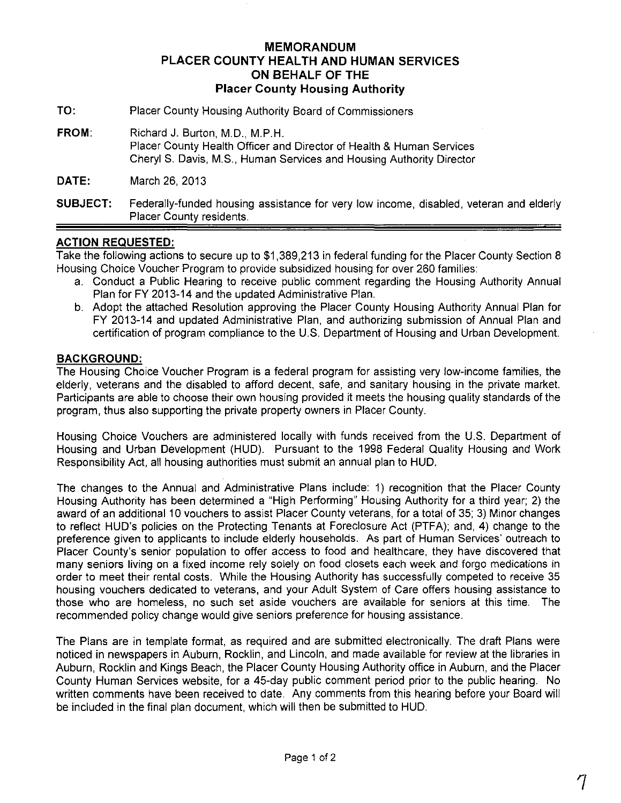# **MEMORANDUM PLACER COUNTY HEALTH AND HUMAN SERVICES ON BEHALF OF THE Placer County Housing Authority**

- **TO:** Placer County Housing Authority Board of Commissioners
- **FROM:** Richard J. Burton, M.D., M.P.H. Placer County Health Officer and Director of Health & Human Services Cheryl S. Davis, M.S., Human Services and Housing Authority Director

**DATE:** March 26,2013

### **ACTION REQUESTED:**

Take the following actions to secure up to \$1,389,213 in federal funding for the Placer County Section 8 Housing Choice Voucher Program to provide subsidized housing for over 260 families:

- a. Conduct a Public Hearing to receive public comment regarding the Housing Authority Annual Plan for FY 2013-14 and the updated Administrative Plan.
- b. Adopt the attached Resolution approving the Placer County Housing Authority Annual Plan for FY 2013-14 and updated Administrative Plan, and authorizing submission of Annual Plan and certification of program compliance to the U.S. Department of Housing and Urban Development.

#### **BACKGROUND:**

The Housing Choice Voucher Program is a federal program for assisting very low-income families, the elderly, veterans and the disabled to afford decent, safe, and sanitary housing in the private market. Participants are able to choose their own housing provided it meets the housing quality standards of the program, thus also supporting the private property owners in Placer County.

Housing Choice Vouchers are administered locally with funds received from the U.S. Department of Housing and Urban Development (HUD). Pursuant to the 1998 Federal Quality Housing and Work Responsibility Act, all housing authorities must submit an annual plan to HUD.

The changes to the Annual and Administrative Plans include: 1) recognition that the Placer County Housing Authority has been determined a "High Performing" Housing Authority for a third year; 2) the award of an additional 10 vouchers to assist Placer County veterans, for a total of 35; 3) Minor changes to reflect HUD's policies on the Protecting Tenants at Foreclosure Act (PTFA); and, 4) change to the preference given to applicants to include elderly households. As part of Human Services' outreach to Placer County's senior population to offer access to food and healthcare, they have discovered that many seniors living on a fixed income rely solely on food closets each week and forgo medications in order to meet their rental costs. While the Housing Authority has successfully competed to receive 35 housing vouchers dedicated to veterans, and your Adult System of Care offers housing assistance to those who are homeless, no such set aside vouchers are available for seniors at this time. The recommended policy change would give seniors preference for housing assistance.

The Plans are in template format, as required and are submitted electronically. The draft Plans were noticed in newspapers in Auburn, Rocklin, and Lincoln, and made available for review at the libraries in Auburn, Rocklin and Kings Beach, the Placer County Housing Authority office in Auburn, and the Placer County Human Services website, for a 45-day public comment period prior to the public hearing. No written comments have been received to date. Any comments from this hearing before your Board will be included in the final plan document, which will then be submitted to HUD.

**SUBJECT:** Federally-funded housing assistance for very low income, disabled, veteran and elderly Placer County residents.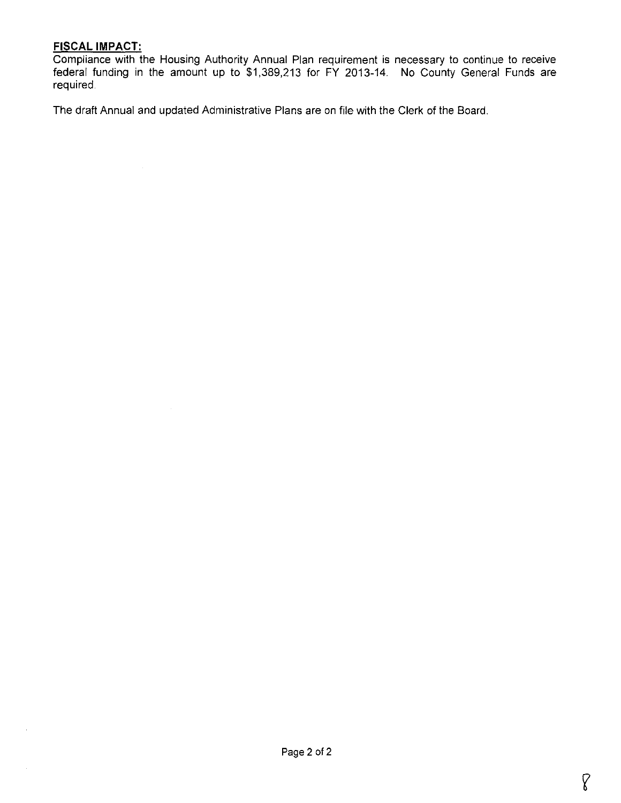## **FISCAL IMPACT:**

Compliance with the Housing Authority Annual Plan requirement is necessary to continue to receive federal funding in the amount up to \$1,389,213 for **FY** 2013-14. No County General Funds are required

**The** draft Annual and updated Administrative Plans are on file with the Clerk of the Board.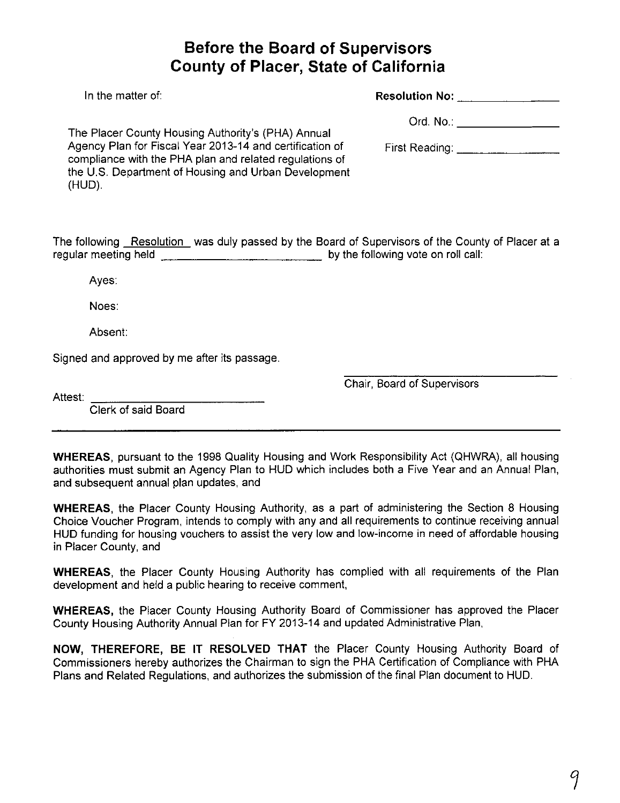# **Before the Board of Supervisors County of Placer, State of California**

| In the matter of:                                                                                                                                                                     | <b>Resolution No:</b> Resolution No: |
|---------------------------------------------------------------------------------------------------------------------------------------------------------------------------------------|--------------------------------------|
| The Placer County Housing Authority's (PHA) Annual                                                                                                                                    |                                      |
| Agency Plan for Fiscal Year 2013-14 and certification of<br>compliance with the PHA plan and related regulations of<br>the U.S. Department of Housing and Urban Development<br>(HUD). |                                      |
| The following <b>_Resolution_</b> was duly passed by the Board of Supervisors of the County of Placer at a                                                                            | by the following vote on roll call:  |
| Ayes:                                                                                                                                                                                 |                                      |
| Noes:                                                                                                                                                                                 |                                      |
| Absent:                                                                                                                                                                               |                                      |

Signed and approved by me after its passage.

Chair, Board of Supervisors

Attest:

Clerk of said Board

**WHEREAS,** pursuant to the 1998 Quality Housing and Work Responsibility Act (QHWRA), all housing authorities must submit an Agency Plan to HUD which includes both a Five Year and an Annual Plan, and subsequent annual plan updates, and

**WHEREAS,** the Placer County Housing Authority, as a part of administering the Section 8 Housing Choice Voucher Program, intends to comply with any and all requirements to continue receiving annual HUD funding for housing vouchers to assist the very low and low-income in need of affordable housing in Placer County, and

**WHEREAS,** the Placer County Housing Authority has complied with all requirements of the Plan development and held a public hearing to receive comment,

**WHEREAS,** the Placer County Housing Authority Board of Commissioner has approved the Placer County Housing Authority Annual Plan for FY 2013-14 and updated Administrative Plan,

**NOW, THEREFORE, BE IT RESOLVED THAT** the Placer County Housing Authority Board of Commissioners hereby authorizes the Chairman to sign the PHA Certification of Compliance with PHA Plans and Related Regulations, and authorizes the submission of the final Plan document to HUD.